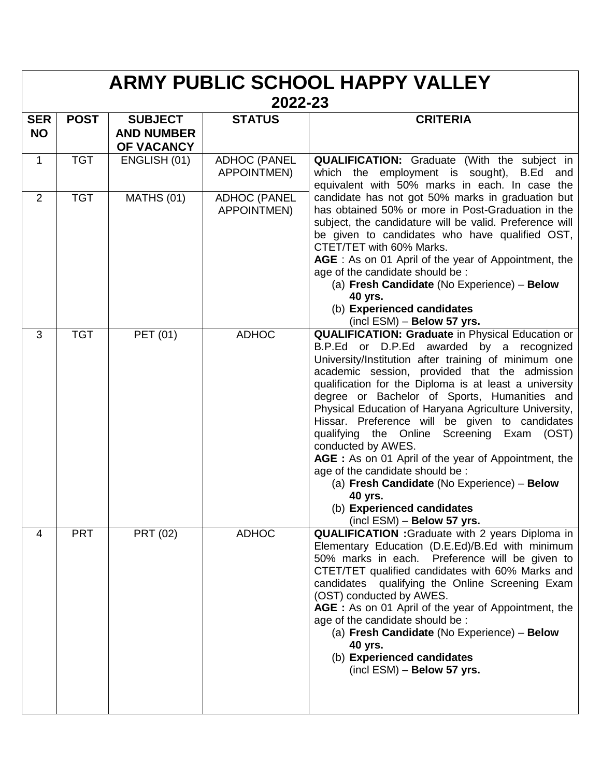| <b>ARMY PUBLIC SCHOOL HAPPY VALLEY</b><br>2022-23 |             |                                                   |                                           |                                                                                                                                                                                                                                                                                                                                                                                                                                                                                                                                                                                                                                                                                                                              |  |  |  |
|---------------------------------------------------|-------------|---------------------------------------------------|-------------------------------------------|------------------------------------------------------------------------------------------------------------------------------------------------------------------------------------------------------------------------------------------------------------------------------------------------------------------------------------------------------------------------------------------------------------------------------------------------------------------------------------------------------------------------------------------------------------------------------------------------------------------------------------------------------------------------------------------------------------------------------|--|--|--|
| <b>SER</b><br><b>NO</b>                           | <b>POST</b> | <b>SUBJECT</b><br><b>AND NUMBER</b><br>OF VACANCY | <b>STATUS</b>                             | <b>CRITERIA</b>                                                                                                                                                                                                                                                                                                                                                                                                                                                                                                                                                                                                                                                                                                              |  |  |  |
| $\mathbf{1}$                                      | <b>TGT</b>  | ENGLISH (01)                                      | <b>ADHOC (PANEL</b><br><b>APPOINTMEN)</b> | <b>QUALIFICATION:</b> Graduate (With the subject in<br>which the employment is sought), B.Ed and<br>equivalent with 50% marks in each. In case the<br>candidate has not got 50% marks in graduation but<br>has obtained 50% or more in Post-Graduation in the<br>subject, the candidature will be valid. Preference will<br>be given to candidates who have qualified OST,<br>CTET/TET with 60% Marks.<br>AGE : As on 01 April of the year of Appointment, the<br>age of the candidate should be :<br>(a) Fresh Candidate (No Experience) - Below<br>40 yrs.<br>(b) Experienced candidates<br>$(incl$ ESM $)$ – Below 57 yrs.                                                                                                |  |  |  |
| $\overline{2}$                                    | <b>TGT</b>  | <b>MATHS (01)</b>                                 | <b>ADHOC (PANEL</b><br><b>APPOINTMEN)</b> |                                                                                                                                                                                                                                                                                                                                                                                                                                                                                                                                                                                                                                                                                                                              |  |  |  |
| 3                                                 | <b>TGT</b>  | PET (01)                                          | <b>ADHOC</b>                              | <b>QUALIFICATION: Graduate in Physical Education or</b><br>B.P.Ed or D.P.Ed awarded by a recognized<br>University/Institution after training of minimum one<br>academic session, provided that the admission<br>qualification for the Diploma is at least a university<br>degree or Bachelor of Sports, Humanities and<br>Physical Education of Haryana Agriculture University,<br>Hissar. Preference will be given to candidates<br>qualifying the Online Screening Exam (OST)<br>conducted by AWES.<br>AGE : As on 01 April of the year of Appointment, the<br>age of the candidate should be :<br>(a) Fresh Candidate (No Experience) - Below<br>40 yrs.<br>(b) Experienced candidates<br>$(incl$ ESM $)$ – Below 57 yrs. |  |  |  |
| 4                                                 | <b>PRT</b>  | <b>PRT (02)</b>                                   | <b>ADHOC</b>                              | QUALIFICATION : Graduate with 2 years Diploma in<br>Elementary Education (D.E.Ed)/B.Ed with minimum<br>50% marks in each. Preference will be given to<br>CTET/TET qualified candidates with 60% Marks and<br>candidates qualifying the Online Screening Exam<br>(OST) conducted by AWES.<br>AGE : As on 01 April of the year of Appointment, the<br>age of the candidate should be :<br>(a) Fresh Candidate (No Experience) - Below<br>40 yrs.<br>(b) Experienced candidates<br>$(incl$ ESM $)$ – Below 57 yrs.                                                                                                                                                                                                              |  |  |  |